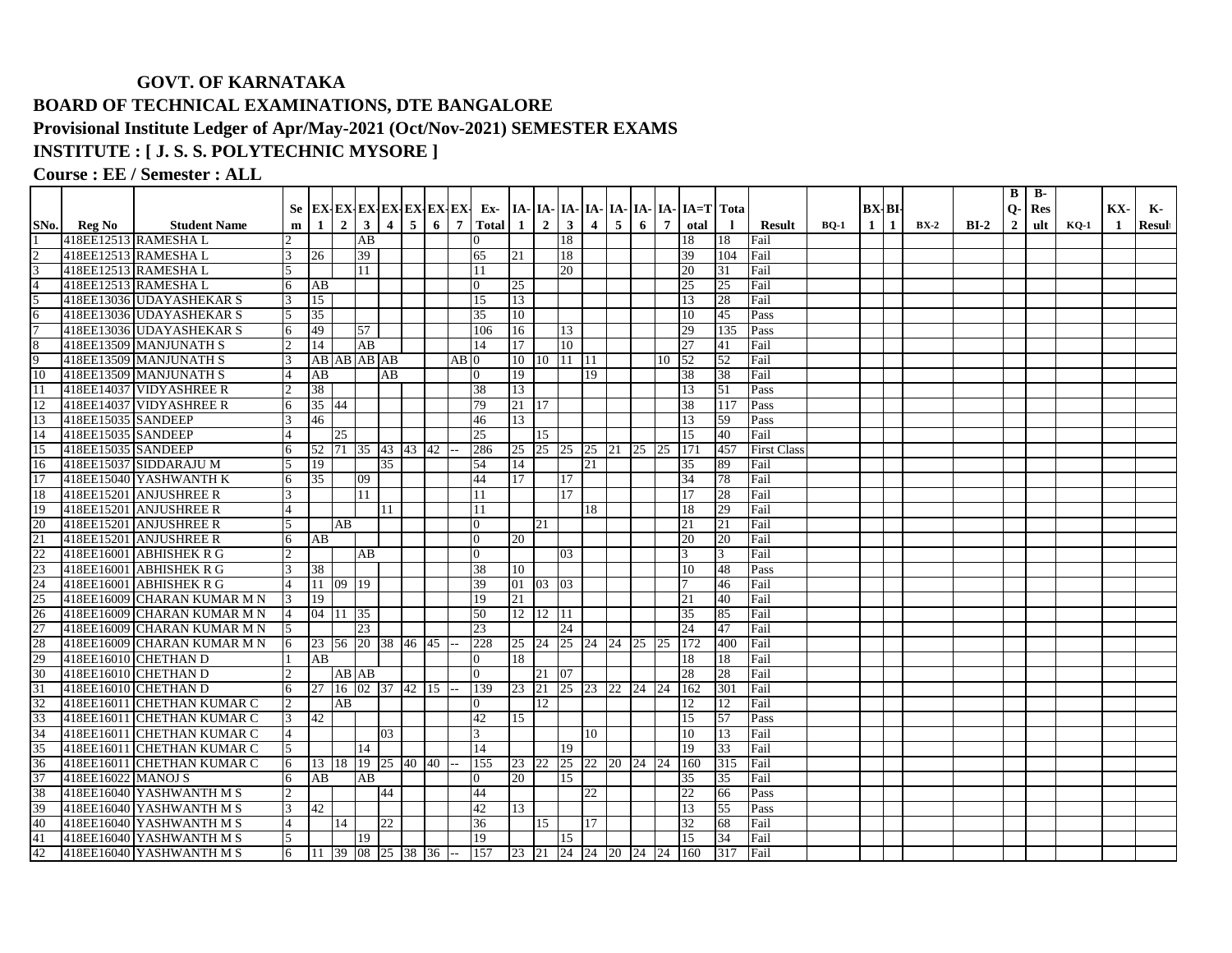## **GOVT. OF KARNATAKA BOARD OF TECHNICAL EXAMINATIONS, DTE BANGALORE Provisional Institute Ledger of Apr/May-2021 (Oct/Nov-2021) SEMESTER EXAMS**

## **INSTITUTE : [ J. S. S. POLYTECHNIC MYSORE ]**

**Course : EE / Semester : ALL**

| BX-BI-<br>$Q-$<br>Res<br>$3 \mid 4 \mid 5 \mid 6 \mid$<br>$\overline{2}$<br>$\mathbf{3}$<br>2 <sup>1</sup><br>$\overline{7}$<br><b>Total</b><br>$\overline{4}$<br>5<br><b>Student Name</b><br>1<br>$\vert 1 \vert$<br>6<br>$\overline{7}$<br>otal<br>SNo.<br>Reg No<br>$\mathbf{m}$<br>$\mathbf{I}$<br><b>Result</b><br>$\mathbf{1}$<br>1<br>$BX-2$<br>$BI-2$<br>$\overline{2}$<br>ult<br>$BO-1$<br>$KO-1$<br>418EE12513 RAMESHAL<br>$\overline{AB}$<br>18<br>Fail<br>$\Omega$<br>18<br>18<br>39<br>418EE12513 RAMESHAL<br>26<br>65<br>18<br>39<br>104<br>Fail<br>3<br>21<br>3<br>418EE12513 RAMESHAL<br>Fail<br>11<br>20<br>20<br>11<br>31<br>418EE12513 RAMESHAL<br>25<br>Fail<br>AB<br>25<br>25<br>6<br>$\overline{0}$<br>5<br>15<br>Fail<br>418EE13036 UDAYASHEKAR S<br>15<br>13<br>28<br>13<br>35<br>418EE13036 UDAYASHEKAR S<br>35<br>10<br>45<br>6<br>10<br>Pass<br>5<br>$\overline{7}$<br>418EE13036 UDAYASHEKAR S<br>49<br>57<br>106<br>16<br>13<br>29<br>135<br>Pass<br>6<br>8<br>418EE13509 MANJUNATH S<br>14<br>17<br>10<br>Fail<br>14<br>AB<br>27<br>41<br>9<br>418EE13509 MANJUNATH S<br>AB AB AB AB<br>52<br>52<br>Fail<br>$AB$ 0<br>10 10 11 11<br>10 | KX-<br>К-<br>Resul<br>-1 |
|-----------------------------------------------------------------------------------------------------------------------------------------------------------------------------------------------------------------------------------------------------------------------------------------------------------------------------------------------------------------------------------------------------------------------------------------------------------------------------------------------------------------------------------------------------------------------------------------------------------------------------------------------------------------------------------------------------------------------------------------------------------------------------------------------------------------------------------------------------------------------------------------------------------------------------------------------------------------------------------------------------------------------------------------------------------------------------------------------------------------------------------------------------------------------|--------------------------|
|                                                                                                                                                                                                                                                                                                                                                                                                                                                                                                                                                                                                                                                                                                                                                                                                                                                                                                                                                                                                                                                                                                                                                                       |                          |
|                                                                                                                                                                                                                                                                                                                                                                                                                                                                                                                                                                                                                                                                                                                                                                                                                                                                                                                                                                                                                                                                                                                                                                       |                          |
|                                                                                                                                                                                                                                                                                                                                                                                                                                                                                                                                                                                                                                                                                                                                                                                                                                                                                                                                                                                                                                                                                                                                                                       |                          |
|                                                                                                                                                                                                                                                                                                                                                                                                                                                                                                                                                                                                                                                                                                                                                                                                                                                                                                                                                                                                                                                                                                                                                                       |                          |
|                                                                                                                                                                                                                                                                                                                                                                                                                                                                                                                                                                                                                                                                                                                                                                                                                                                                                                                                                                                                                                                                                                                                                                       |                          |
|                                                                                                                                                                                                                                                                                                                                                                                                                                                                                                                                                                                                                                                                                                                                                                                                                                                                                                                                                                                                                                                                                                                                                                       |                          |
|                                                                                                                                                                                                                                                                                                                                                                                                                                                                                                                                                                                                                                                                                                                                                                                                                                                                                                                                                                                                                                                                                                                                                                       |                          |
|                                                                                                                                                                                                                                                                                                                                                                                                                                                                                                                                                                                                                                                                                                                                                                                                                                                                                                                                                                                                                                                                                                                                                                       |                          |
|                                                                                                                                                                                                                                                                                                                                                                                                                                                                                                                                                                                                                                                                                                                                                                                                                                                                                                                                                                                                                                                                                                                                                                       |                          |
|                                                                                                                                                                                                                                                                                                                                                                                                                                                                                                                                                                                                                                                                                                                                                                                                                                                                                                                                                                                                                                                                                                                                                                       |                          |
|                                                                                                                                                                                                                                                                                                                                                                                                                                                                                                                                                                                                                                                                                                                                                                                                                                                                                                                                                                                                                                                                                                                                                                       |                          |
| 10<br>418EE13509 MANJUNATH S<br>AB<br>AB<br>19<br>19<br>38<br>38<br>Fail<br>$\Omega$                                                                                                                                                                                                                                                                                                                                                                                                                                                                                                                                                                                                                                                                                                                                                                                                                                                                                                                                                                                                                                                                                  |                          |
| 38<br>418EE14037 VIDYASHREE R<br>13<br>Pass<br>38<br>13<br>51                                                                                                                                                                                                                                                                                                                                                                                                                                                                                                                                                                                                                                                                                                                                                                                                                                                                                                                                                                                                                                                                                                         |                          |
| 35 44<br>12<br>418EE14037 VIDYASHREE R<br>79<br>21   17<br>38<br>Pass<br>6<br>117                                                                                                                                                                                                                                                                                                                                                                                                                                                                                                                                                                                                                                                                                                                                                                                                                                                                                                                                                                                                                                                                                     |                          |
| 13<br>46<br>13<br>418EE15035 SANDEEP<br>46<br>13<br>59<br>Pass                                                                                                                                                                                                                                                                                                                                                                                                                                                                                                                                                                                                                                                                                                                                                                                                                                                                                                                                                                                                                                                                                                        |                          |
| 14<br>418EE15035 SANDEEP<br>25<br>Fail<br>25<br>15<br>15<br>40                                                                                                                                                                                                                                                                                                                                                                                                                                                                                                                                                                                                                                                                                                                                                                                                                                                                                                                                                                                                                                                                                                        |                          |
| 15<br>418EE15035 SANDEEP<br>52 71 35 43 43 42<br>25 25 25 25 21 25 25<br>171<br><b>First Class</b><br>6<br>286<br>457                                                                                                                                                                                                                                                                                                                                                                                                                                                                                                                                                                                                                                                                                                                                                                                                                                                                                                                                                                                                                                                 |                          |
| $\overline{16}$<br>418EE15037 SIDDARAJU M<br>19<br>35<br>14<br>54<br>21<br>89<br>Fail<br>35                                                                                                                                                                                                                                                                                                                                                                                                                                                                                                                                                                                                                                                                                                                                                                                                                                                                                                                                                                                                                                                                           |                          |
| 17<br>35<br>418EE15040 YASHWANTH K<br>09<br>44<br>17<br>17<br>34<br>78<br>Fail<br>6                                                                                                                                                                                                                                                                                                                                                                                                                                                                                                                                                                                                                                                                                                                                                                                                                                                                                                                                                                                                                                                                                   |                          |
| 17<br>Fail<br>18<br>418EE15201 ANJUSHREE R<br>11<br>17<br>28<br>3<br>l 11                                                                                                                                                                                                                                                                                                                                                                                                                                                                                                                                                                                                                                                                                                                                                                                                                                                                                                                                                                                                                                                                                             |                          |
| 19<br>418EE15201 ANJUSHREE R<br>29<br>Fail<br>4<br>11<br>18<br>18<br>11                                                                                                                                                                                                                                                                                                                                                                                                                                                                                                                                                                                                                                                                                                                                                                                                                                                                                                                                                                                                                                                                                               |                          |
| 20<br>418EE15201 ANJUSHREE R<br>5<br>AB<br>$\overline{0}$<br>21<br>21<br>21<br>Fail                                                                                                                                                                                                                                                                                                                                                                                                                                                                                                                                                                                                                                                                                                                                                                                                                                                                                                                                                                                                                                                                                   |                          |
| 21<br>Fail<br>418EE15201 ANJUSHREE R<br>AB<br>$\Omega$<br>20<br>20<br>20<br>6                                                                                                                                                                                                                                                                                                                                                                                                                                                                                                                                                                                                                                                                                                                                                                                                                                                                                                                                                                                                                                                                                         |                          |
| 22<br>418EE16001 ABHISHEK R G<br>AB<br>$\Omega$<br>0 <sup>3</sup><br>Fail<br>3                                                                                                                                                                                                                                                                                                                                                                                                                                                                                                                                                                                                                                                                                                                                                                                                                                                                                                                                                                                                                                                                                        |                          |
| 23<br>418EE16001 ABHISHEK R G<br>38<br>38<br>10<br>10<br>48<br>Pass                                                                                                                                                                                                                                                                                                                                                                                                                                                                                                                                                                                                                                                                                                                                                                                                                                                                                                                                                                                                                                                                                                   |                          |
| 24<br>Fail<br>418EE16001 ABHISHEK R G<br>11 09 19<br>39<br>01 03 03<br>46                                                                                                                                                                                                                                                                                                                                                                                                                                                                                                                                                                                                                                                                                                                                                                                                                                                                                                                                                                                                                                                                                             |                          |
| 25<br>418EE16009 CHARAN KUMAR M N<br>19<br>19<br>21<br>40<br>Fail<br>21                                                                                                                                                                                                                                                                                                                                                                                                                                                                                                                                                                                                                                                                                                                                                                                                                                                                                                                                                                                                                                                                                               |                          |
| 26<br>418EE16009 CHARAN KUMAR M N<br>04 11 35<br>12 12 11<br>85<br>50<br>35<br>Fail                                                                                                                                                                                                                                                                                                                                                                                                                                                                                                                                                                                                                                                                                                                                                                                                                                                                                                                                                                                                                                                                                   |                          |
| 27<br>24<br>24<br>Fail<br>418EE16009 CHARAN KUMAR M N<br>23<br>23<br>47                                                                                                                                                                                                                                                                                                                                                                                                                                                                                                                                                                                                                                                                                                                                                                                                                                                                                                                                                                                                                                                                                               |                          |
| 28<br>418EE16009 CHARAN KUMAR M N<br>$23 \quad 56 \quad 20 \quad 38 \quad 46 \quad 45 \quad -$<br>228<br>25 24 25 24 24 25 25<br>Fail<br><b>172</b><br>400<br>6                                                                                                                                                                                                                                                                                                                                                                                                                                                                                                                                                                                                                                                                                                                                                                                                                                                                                                                                                                                                       |                          |
| 29<br>AB<br>18<br>418EE16010 CHETHAN D<br>18<br>Fail<br>$\Omega$<br>18                                                                                                                                                                                                                                                                                                                                                                                                                                                                                                                                                                                                                                                                                                                                                                                                                                                                                                                                                                                                                                                                                                |                          |
| 30<br>AB AB<br>21 07<br>28<br>28<br>Fail<br>418EE16010 CHETHAN D<br>$\Omega$                                                                                                                                                                                                                                                                                                                                                                                                                                                                                                                                                                                                                                                                                                                                                                                                                                                                                                                                                                                                                                                                                          |                          |
| 31<br>27 16 02 37 42 15<br>23 21 25 23 22 24 24<br>Fail<br>418EE16010 CHETHAN D<br>139<br>162<br>301<br>6                                                                                                                                                                                                                                                                                                                                                                                                                                                                                                                                                                                                                                                                                                                                                                                                                                                                                                                                                                                                                                                             |                          |
| 32<br>Fail<br>418EE16011 CHETHAN KUMAR C<br>AB<br>12<br>12<br>$\overline{2}$<br>$\overline{0}$<br>12                                                                                                                                                                                                                                                                                                                                                                                                                                                                                                                                                                                                                                                                                                                                                                                                                                                                                                                                                                                                                                                                  |                          |
| 33<br>57<br>418EE16011 CHETHAN KUMAR C<br>42<br>42<br>15<br>15<br>Pass<br>3                                                                                                                                                                                                                                                                                                                                                                                                                                                                                                                                                                                                                                                                                                                                                                                                                                                                                                                                                                                                                                                                                           |                          |
| 34<br>418EE16011 CHETHAN KUMAR C<br>Fail<br>03<br>3<br>10<br>10<br>13<br>$\overline{4}$                                                                                                                                                                                                                                                                                                                                                                                                                                                                                                                                                                                                                                                                                                                                                                                                                                                                                                                                                                                                                                                                               |                          |
| 35<br>33<br>418EE16011 CHETHAN KUMAR C<br>14<br>14<br>19<br>19<br>Fail<br>5.                                                                                                                                                                                                                                                                                                                                                                                                                                                                                                                                                                                                                                                                                                                                                                                                                                                                                                                                                                                                                                                                                          |                          |
| 36<br>$13$ 18 19 25 40 40 --<br>$23 \overline{22}$<br>25 22 20 24 24<br>315<br>Fail<br>418EE16011 CHETHAN KUMAR C<br>6<br>155<br>160                                                                                                                                                                                                                                                                                                                                                                                                                                                                                                                                                                                                                                                                                                                                                                                                                                                                                                                                                                                                                                  |                          |
| 37<br>418EE16022 MANOJ S<br>15<br>Fail<br>6<br>AB<br>AB<br>$\Omega$<br>20<br>35<br>35                                                                                                                                                                                                                                                                                                                                                                                                                                                                                                                                                                                                                                                                                                                                                                                                                                                                                                                                                                                                                                                                                 |                          |
| 38<br>418EE16040 YASHWANTH M S<br>44<br>44<br>22<br>$\mathfrak{D}$<br>22<br>66<br>Pass                                                                                                                                                                                                                                                                                                                                                                                                                                                                                                                                                                                                                                                                                                                                                                                                                                                                                                                                                                                                                                                                                |                          |
| 39<br>418EE16040 YASHWANTH M S<br>42<br>55<br>Pass<br>3<br>42<br>13<br>13                                                                                                                                                                                                                                                                                                                                                                                                                                                                                                                                                                                                                                                                                                                                                                                                                                                                                                                                                                                                                                                                                             |                          |
| 40<br>418EE16040 YASHWANTH M S<br>22<br>15<br>Fail<br>$\overline{4}$<br>14<br>36<br>17<br>32<br>68                                                                                                                                                                                                                                                                                                                                                                                                                                                                                                                                                                                                                                                                                                                                                                                                                                                                                                                                                                                                                                                                    |                          |
| 41<br>418EE16040 YASHWANTH M S<br>19<br>15<br>34<br>Fail<br>5<br>19<br>15                                                                                                                                                                                                                                                                                                                                                                                                                                                                                                                                                                                                                                                                                                                                                                                                                                                                                                                                                                                                                                                                                             |                          |
| 42<br>418EE16040 YASHWANTH M S<br>6<br>$11$ 39 08 25 38 36 --<br>157<br>23 21 24 24 20 24 24 160<br>317<br>Fail                                                                                                                                                                                                                                                                                                                                                                                                                                                                                                                                                                                                                                                                                                                                                                                                                                                                                                                                                                                                                                                       |                          |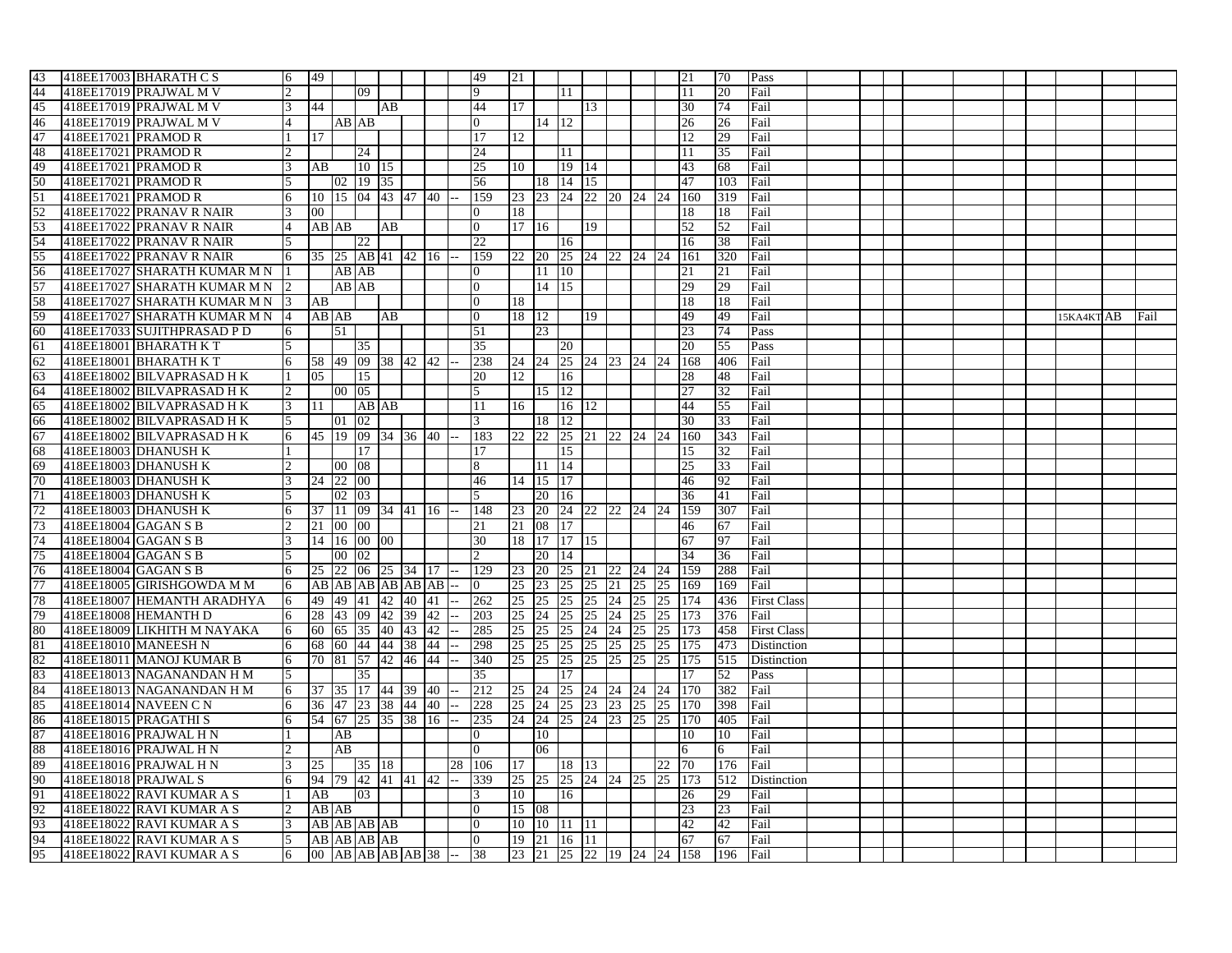| 43<br>49<br>418EE17003 BHARATH C S<br>49<br>21<br>70<br>Pass<br>6<br>21<br>44<br>418EE17019 PRAJWAL M V<br>09<br>11<br>11<br>20<br>Fail<br>45<br>418EE17019 PRAJWAL M V<br>44<br>AB<br>44<br>30<br>74<br>Fail<br>3<br>17<br>13<br>46<br>418EE17019 PRAJWAL M V<br>AB AB<br>$14 \overline{12}$<br>26<br>26<br>Fail<br>47<br>418EE17021 PRAMOD R<br>17<br>17<br>12<br>29<br>Fail<br>12<br>48<br>418EE17021 PRAMOD R<br>24<br>24<br>11.<br>35<br>Fail<br>l 11<br>49<br>418EE17021 PRAMOD R<br>10   15<br>25<br>19   14<br>Fail<br>AB<br>10<br>43<br>68<br>$\mathbf{R}$<br>50<br>418EE17021 PRAMOD R<br>02 19 35<br>18 14 15<br>103<br>Fail<br>56<br>47<br>23 23 24 22 20 24 24 160<br>51<br>10 15 04 43 47 40<br>159<br>319<br>418EE17021 PRAMOD R<br>6<br>Fail<br>52<br>418EE17022 PRANAV R NAIR<br>$00\,$<br>18<br>18<br>Fail<br>18<br>53<br>418EE17022 PRANAV R NAIR<br>AB AB<br>AB<br>17   16<br>19<br>52<br>52<br>Fail<br>4<br>54<br>418EE17022 PRANAV R NAIR<br>$\overline{22}$<br>38<br>$\overline{5}$<br>22<br>Fail<br>16<br>16<br>55<br>418EE17022 PRANAV R NAIR<br>25 AB 41 42 16<br>25 24 22 24 24<br>161<br>320<br>Fail<br>6<br>35<br>159<br>22<br><b>20</b> |      |
|-----------------------------------------------------------------------------------------------------------------------------------------------------------------------------------------------------------------------------------------------------------------------------------------------------------------------------------------------------------------------------------------------------------------------------------------------------------------------------------------------------------------------------------------------------------------------------------------------------------------------------------------------------------------------------------------------------------------------------------------------------------------------------------------------------------------------------------------------------------------------------------------------------------------------------------------------------------------------------------------------------------------------------------------------------------------------------------------------------------------------------------------------------------------------|------|
|                                                                                                                                                                                                                                                                                                                                                                                                                                                                                                                                                                                                                                                                                                                                                                                                                                                                                                                                                                                                                                                                                                                                                                       |      |
|                                                                                                                                                                                                                                                                                                                                                                                                                                                                                                                                                                                                                                                                                                                                                                                                                                                                                                                                                                                                                                                                                                                                                                       |      |
|                                                                                                                                                                                                                                                                                                                                                                                                                                                                                                                                                                                                                                                                                                                                                                                                                                                                                                                                                                                                                                                                                                                                                                       |      |
|                                                                                                                                                                                                                                                                                                                                                                                                                                                                                                                                                                                                                                                                                                                                                                                                                                                                                                                                                                                                                                                                                                                                                                       |      |
|                                                                                                                                                                                                                                                                                                                                                                                                                                                                                                                                                                                                                                                                                                                                                                                                                                                                                                                                                                                                                                                                                                                                                                       |      |
|                                                                                                                                                                                                                                                                                                                                                                                                                                                                                                                                                                                                                                                                                                                                                                                                                                                                                                                                                                                                                                                                                                                                                                       |      |
|                                                                                                                                                                                                                                                                                                                                                                                                                                                                                                                                                                                                                                                                                                                                                                                                                                                                                                                                                                                                                                                                                                                                                                       |      |
|                                                                                                                                                                                                                                                                                                                                                                                                                                                                                                                                                                                                                                                                                                                                                                                                                                                                                                                                                                                                                                                                                                                                                                       |      |
|                                                                                                                                                                                                                                                                                                                                                                                                                                                                                                                                                                                                                                                                                                                                                                                                                                                                                                                                                                                                                                                                                                                                                                       |      |
|                                                                                                                                                                                                                                                                                                                                                                                                                                                                                                                                                                                                                                                                                                                                                                                                                                                                                                                                                                                                                                                                                                                                                                       |      |
|                                                                                                                                                                                                                                                                                                                                                                                                                                                                                                                                                                                                                                                                                                                                                                                                                                                                                                                                                                                                                                                                                                                                                                       |      |
|                                                                                                                                                                                                                                                                                                                                                                                                                                                                                                                                                                                                                                                                                                                                                                                                                                                                                                                                                                                                                                                                                                                                                                       |      |
|                                                                                                                                                                                                                                                                                                                                                                                                                                                                                                                                                                                                                                                                                                                                                                                                                                                                                                                                                                                                                                                                                                                                                                       |      |
| 56<br>418EE17027 SHARATH KUMAR M N<br>10 <sup>10</sup><br>AB AB<br>11<br>21<br>21<br>Fail                                                                                                                                                                                                                                                                                                                                                                                                                                                                                                                                                                                                                                                                                                                                                                                                                                                                                                                                                                                                                                                                             |      |
| 57<br>$14 \mid 15$<br>418EE17027 SHARATH KUMAR M N<br>AB AB<br>29<br>29<br>Fail                                                                                                                                                                                                                                                                                                                                                                                                                                                                                                                                                                                                                                                                                                                                                                                                                                                                                                                                                                                                                                                                                       |      |
| 58<br>418EE17027 SHARATH KUMAR M N 3<br>18<br>18<br>Fail<br>AB<br>18                                                                                                                                                                                                                                                                                                                                                                                                                                                                                                                                                                                                                                                                                                                                                                                                                                                                                                                                                                                                                                                                                                  |      |
| 59<br>418EE17027 SHARATH KUMAR M N<br>AB AB<br>18   12<br>19<br>49<br>49<br>Fail<br>AB<br>15KA4KT AB<br>14                                                                                                                                                                                                                                                                                                                                                                                                                                                                                                                                                                                                                                                                                                                                                                                                                                                                                                                                                                                                                                                            | Fail |
| 418EE17033 SUJITHPRASAD P D<br>23<br>23<br>74<br>60<br>51<br>51<br>Pass<br>6                                                                                                                                                                                                                                                                                                                                                                                                                                                                                                                                                                                                                                                                                                                                                                                                                                                                                                                                                                                                                                                                                          |      |
| 61<br>20<br>55<br>418EE18001 BHARATH KT<br>35<br>35<br>20<br>Pass                                                                                                                                                                                                                                                                                                                                                                                                                                                                                                                                                                                                                                                                                                                                                                                                                                                                                                                                                                                                                                                                                                     |      |
| 58 49 09 38 42 42<br>24 24 25 24 23 24 24<br>62<br>418EE18001 BHARATH KT<br>238<br>168<br>406<br>Fail                                                                                                                                                                                                                                                                                                                                                                                                                                                                                                                                                                                                                                                                                                                                                                                                                                                                                                                                                                                                                                                                 |      |
| 63<br>418EE18002 BILVAPRASAD HK<br>12<br>16<br>Fail<br>05<br>15<br>20<br>28<br>48                                                                                                                                                                                                                                                                                                                                                                                                                                                                                                                                                                                                                                                                                                                                                                                                                                                                                                                                                                                                                                                                                     |      |
| 64<br>418EE18002 BILVAPRASAD HK<br>05<br>15   12<br>27<br>32<br>$00\,$<br>Fail                                                                                                                                                                                                                                                                                                                                                                                                                                                                                                                                                                                                                                                                                                                                                                                                                                                                                                                                                                                                                                                                                        |      |
| 65<br>44                                                                                                                                                                                                                                                                                                                                                                                                                                                                                                                                                                                                                                                                                                                                                                                                                                                                                                                                                                                                                                                                                                                                                              |      |
| 418EE18002 BILVAPRASAD H K<br>AB AB<br>16   12<br>55<br>Fail<br>3<br>11<br>11<br>16                                                                                                                                                                                                                                                                                                                                                                                                                                                                                                                                                                                                                                                                                                                                                                                                                                                                                                                                                                                                                                                                                   |      |
| 66<br>33<br>418EE18002 BILVAPRASAD HK<br>5<br>01<br>02<br>3<br>18<br>12<br>30<br>Fail                                                                                                                                                                                                                                                                                                                                                                                                                                                                                                                                                                                                                                                                                                                                                                                                                                                                                                                                                                                                                                                                                 |      |
| 22 22<br>25 21 22 24 24<br>67<br>418EE18002 BILVAPRASAD HK<br>45 19 09 34 36 40<br>183<br>160<br>343<br>Fail<br>6                                                                                                                                                                                                                                                                                                                                                                                                                                                                                                                                                                                                                                                                                                                                                                                                                                                                                                                                                                                                                                                     |      |
| 68<br>418EE18003 DHANUSH K<br>17<br>15<br>15<br>32<br>Fail<br>17                                                                                                                                                                                                                                                                                                                                                                                                                                                                                                                                                                                                                                                                                                                                                                                                                                                                                                                                                                                                                                                                                                      |      |
| 69<br>418EE18003 DHANUSH K<br>08<br>14<br>33<br>Fail<br>$00\,$<br>11<br>25                                                                                                                                                                                                                                                                                                                                                                                                                                                                                                                                                                                                                                                                                                                                                                                                                                                                                                                                                                                                                                                                                            |      |
| 70<br>92<br>418EE18003 DHANUSH K<br>22<br>00<br>$\vert$ 15<br>17<br>46<br>Fail<br>24<br>46<br>14                                                                                                                                                                                                                                                                                                                                                                                                                                                                                                                                                                                                                                                                                                                                                                                                                                                                                                                                                                                                                                                                      |      |
| 71<br>418EE18003 DHANUSH K<br>03<br>5<br>20<br>36<br>41<br>Fail<br>02<br><sup>16</sup>                                                                                                                                                                                                                                                                                                                                                                                                                                                                                                                                                                                                                                                                                                                                                                                                                                                                                                                                                                                                                                                                                |      |
| 72<br>24 22 22 24 24 159<br>37 11 09 34 41 16<br>23 20<br>307<br>Fail<br>418EE18003 DHANUSH K<br>6<br>148                                                                                                                                                                                                                                                                                                                                                                                                                                                                                                                                                                                                                                                                                                                                                                                                                                                                                                                                                                                                                                                             |      |
| 73<br>418EE18004 GAGAN S B<br>21 00 00<br>21<br>08 17<br>46<br>67<br>Fail<br>21                                                                                                                                                                                                                                                                                                                                                                                                                                                                                                                                                                                                                                                                                                                                                                                                                                                                                                                                                                                                                                                                                       |      |
| 74<br>30<br>18 17 17 15<br>418EE18004 GAGAN S B<br>14 16 00 00<br>67<br>97<br>Fail                                                                                                                                                                                                                                                                                                                                                                                                                                                                                                                                                                                                                                                                                                                                                                                                                                                                                                                                                                                                                                                                                    |      |
| 75<br>418EE18004 GAGAN S B<br>00 02<br>20   14<br>34<br>36<br>Fail                                                                                                                                                                                                                                                                                                                                                                                                                                                                                                                                                                                                                                                                                                                                                                                                                                                                                                                                                                                                                                                                                                    |      |
| 76<br><b>20</b><br>288<br>418EE18004 GAGAN S B<br>22<br>06 25 34 17<br>129<br>23<br>25 21 22<br>24 24 159<br>Fail<br>6<br>25                                                                                                                                                                                                                                                                                                                                                                                                                                                                                                                                                                                                                                                                                                                                                                                                                                                                                                                                                                                                                                          |      |
| 77<br>25 23<br>25<br>25 21 25<br>169<br>Fail<br>418EE18005 GIRISHGOWDA M M<br>AB AB AB AB AB AB<br>25 169<br>6<br>$\Omega$                                                                                                                                                                                                                                                                                                                                                                                                                                                                                                                                                                                                                                                                                                                                                                                                                                                                                                                                                                                                                                            |      |
| 78<br>25<br>25<br>25 24 25<br>418EE18007 HEMANTH ARADHYA<br>6<br>49<br>49<br>41 42<br>40 41<br>262<br>25<br>25<br>174<br>436<br><b>First Class</b>                                                                                                                                                                                                                                                                                                                                                                                                                                                                                                                                                                                                                                                                                                                                                                                                                                                                                                                                                                                                                    |      |
| 79<br>25 24<br>Fail<br>418EE18008 HEMANTH D<br>28<br>43<br>09<br>42<br>39<br>42<br>203<br>25 24<br>25<br>25<br>25<br>173<br>376<br>6                                                                                                                                                                                                                                                                                                                                                                                                                                                                                                                                                                                                                                                                                                                                                                                                                                                                                                                                                                                                                                  |      |
| 80<br>418EE18009 LIKHITH M NAYAKA<br>25 25<br>25<br>24 24<br>25<br>458<br><b>First Class</b><br>60 65<br>35 40 43<br>42<br>285<br>25 173<br>6                                                                                                                                                                                                                                                                                                                                                                                                                                                                                                                                                                                                                                                                                                                                                                                                                                                                                                                                                                                                                         |      |
| 81<br>418EE18010 MANEESH N<br>298<br>25 25<br>25<br>25<br>473<br>6<br>68<br>60<br>44 44<br>38<br>44<br>25<br>25<br>25<br>175<br>Distinction                                                                                                                                                                                                                                                                                                                                                                                                                                                                                                                                                                                                                                                                                                                                                                                                                                                                                                                                                                                                                           |      |
| 82<br>418EE18011 MANOJ KUMAR B<br>340<br>25 25<br>25<br>25<br>25<br>515<br>Distinction<br>6<br>70<br>81<br>57<br>42<br>46<br>44<br>25<br>25<br><sup>175</sup>                                                                                                                                                                                                                                                                                                                                                                                                                                                                                                                                                                                                                                                                                                                                                                                                                                                                                                                                                                                                         |      |
| 83<br>418EE18013 NAGANANDAN H M<br>35<br>17<br>52<br>5<br>35<br>Pass<br>17                                                                                                                                                                                                                                                                                                                                                                                                                                                                                                                                                                                                                                                                                                                                                                                                                                                                                                                                                                                                                                                                                            |      |
| 84<br>Fail<br>418EE18013 NAGANANDAN H M<br>17 44<br>39<br>40<br>212<br>25 24<br>25 24 24 24<br>382<br>6<br>37<br>35<br>24<br><b>170</b>                                                                                                                                                                                                                                                                                                                                                                                                                                                                                                                                                                                                                                                                                                                                                                                                                                                                                                                                                                                                                               |      |
|                                                                                                                                                                                                                                                                                                                                                                                                                                                                                                                                                                                                                                                                                                                                                                                                                                                                                                                                                                                                                                                                                                                                                                       |      |
| 85<br>25 23 23 25<br>25 170<br>398<br>418EE18014 NAVEEN C N<br>36 47<br>23 38 44 40<br>228<br>25 24<br>Fail<br>6                                                                                                                                                                                                                                                                                                                                                                                                                                                                                                                                                                                                                                                                                                                                                                                                                                                                                                                                                                                                                                                      |      |
| 86<br>418EE18015 PRAGATHIS<br>38<br>24 24 25 24 23<br>25<br>405<br>54 67 25 35<br>16<br>235<br>25<br><sup>170</sup><br>Fail<br>6                                                                                                                                                                                                                                                                                                                                                                                                                                                                                                                                                                                                                                                                                                                                                                                                                                                                                                                                                                                                                                      |      |
| 87<br>418EE18016 PRAJWAL H N<br>AB<br>10<br>10<br>10<br>Fail                                                                                                                                                                                                                                                                                                                                                                                                                                                                                                                                                                                                                                                                                                                                                                                                                                                                                                                                                                                                                                                                                                          |      |
| 88<br>418EE18016 PRAJWAL H N<br>AB<br>06<br>Fail<br>6<br>6.                                                                                                                                                                                                                                                                                                                                                                                                                                                                                                                                                                                                                                                                                                                                                                                                                                                                                                                                                                                                                                                                                                           |      |
| 89<br>418EE18016 PRAJWAL H N<br>35 18<br>18 13<br>22 70<br>176<br>Fail<br>25<br>28<br><sup>106</sup><br>17                                                                                                                                                                                                                                                                                                                                                                                                                                                                                                                                                                                                                                                                                                                                                                                                                                                                                                                                                                                                                                                            |      |
| 90<br>94 79 42 41 41 42<br>25 25 25 24 24 25 25 173<br>418EE18018 PRAJWAL S<br>339<br>512<br>Distinction<br>6<br>$-$                                                                                                                                                                                                                                                                                                                                                                                                                                                                                                                                                                                                                                                                                                                                                                                                                                                                                                                                                                                                                                                  |      |
| 91<br>AB<br>03<br>418EE18022 RAVI KUMAR A S<br>10<br>16<br>26<br>29<br>Fail<br>3                                                                                                                                                                                                                                                                                                                                                                                                                                                                                                                                                                                                                                                                                                                                                                                                                                                                                                                                                                                                                                                                                      |      |
| 92<br>23<br>418EE18022 RAVI KUMAR A S<br>AB AB<br>15 08<br>23<br>Fail<br>$\mathcal{D}_{\mathcal{L}}$<br>$\Omega$                                                                                                                                                                                                                                                                                                                                                                                                                                                                                                                                                                                                                                                                                                                                                                                                                                                                                                                                                                                                                                                      |      |
|                                                                                                                                                                                                                                                                                                                                                                                                                                                                                                                                                                                                                                                                                                                                                                                                                                                                                                                                                                                                                                                                                                                                                                       |      |
| 93<br>418EE18022 RAVI KUMAR A S<br>AB AB AB AB<br>10 10 11 11<br>42<br>42<br>Fail<br>3<br>$\Omega$                                                                                                                                                                                                                                                                                                                                                                                                                                                                                                                                                                                                                                                                                                                                                                                                                                                                                                                                                                                                                                                                    |      |
| 94<br>418EE18022 RAVI KUMAR A S<br>AB AB AB AB<br>19 21 16 11<br>5<br>67<br>67<br>Fail<br>$\Omega$                                                                                                                                                                                                                                                                                                                                                                                                                                                                                                                                                                                                                                                                                                                                                                                                                                                                                                                                                                                                                                                                    |      |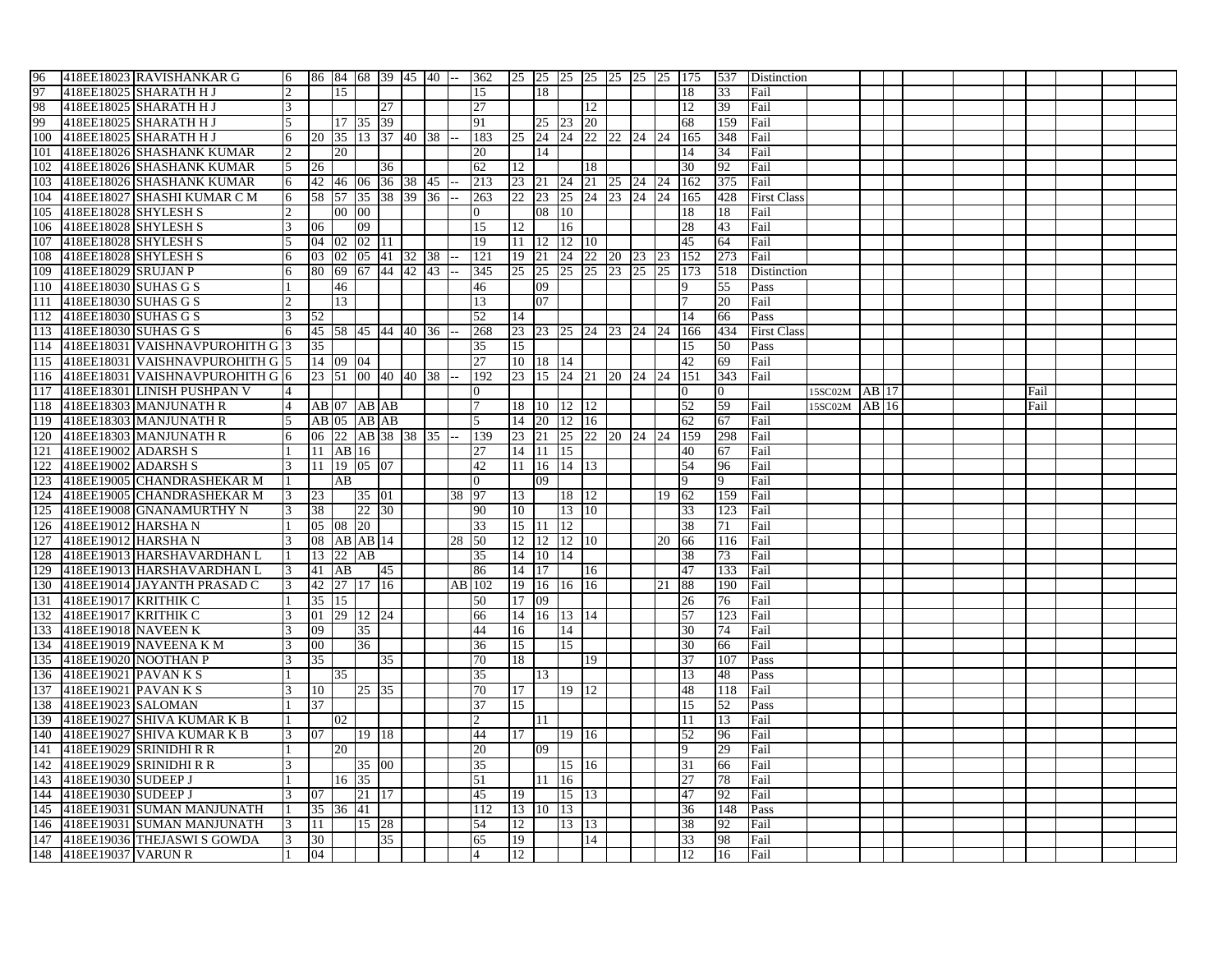| 418EE18023 RAVISHANKAR G<br>86 84 68 39 45 40 --<br>25 25 25 25 25 25 25 25 175<br>97<br>418EE18025 SHARATH H J<br>18<br>15<br>15<br>18<br>33<br>Fail<br>98<br><sup>27</sup><br>418EE18025 SHARATH H J<br>27<br>12<br>12<br>39<br>Fail<br>3.<br>99<br>17 35 39<br>23 20<br>418EE18025 SHARATH H J<br>91<br>25<br>159<br>Fail<br>68<br>100<br>418EE18025 SHARATH H J<br>20 35 13 37 40 38<br>183<br>25<br>24<br>165<br>348<br>Fail<br>101<br>418EE18026 SHASHANK KUMAR<br>20<br>20<br>14<br>14<br>34<br>Fail<br>102<br>418EE18026 SHASHANK KUMAR<br>62<br>18<br>92<br>Fail<br>5<br>26<br>36<br>12<br>30<br>24 21 25 24 24<br>103<br>418EE18026 SHASHANK KUMAR<br>42 46 06 36 38 45<br>213<br>23 21<br>162<br>375<br>Fail<br>6<br>23 25 24 23 24 24<br>104<br>418EE18027 SHASHI KUMAR C M<br>58 57 35 38 39 36<br>22<br>263<br><sup>165</sup><br>428<br><b>First Class</b><br>6<br>105<br>418EE18028 SHYLESH S<br>00 00<br>08 10<br>$\Omega$<br>18<br>18<br>Fail<br>$\overline{16}$<br>106<br>418EE18028 SHYLESH S<br>06<br>15<br>12<br>28<br>43<br>Fail<br>09<br>107<br>418EE18028 SHYLESH S<br>04 02 02 11<br>19<br>11 12 12 10<br>45<br>Fail<br>64<br>108<br>418EE18028 SHYLESH S<br>24 22 20 23 23<br>152<br>273<br>03 02 05 41 32 38<br>121<br>19 21<br>Fail<br>6<br>418EE18029 SRUJAN P<br>80 69 67 44 42 43<br>25 25 25 25 23 25 25 173<br>109<br>345<br>518<br>Distinction<br>110<br>418EE18030 SUHAS G S<br>46<br>46<br>09<br>55<br>Pass<br>19<br>111<br>13<br>07<br>418EE18030 SUHAS G S<br>13<br>20<br>Fail<br>112<br>418EE18030 SUHAS G S<br>52<br>52<br>Pass<br>14<br>14<br>66<br>113<br>418EE18030 SUHAS G S<br>45 58 45 44 40 36<br>268<br>23 23 25 24 23 24 24<br>166<br>434<br><b>First Class</b><br>6<br>114<br>418EE18031 VAISHNAVPUROHITH G 3<br>35<br>15<br>35<br>50<br>Pass<br>15<br>418EE18031 VAISHNAVPUROHITH G15<br>10 18 14<br>42<br>115<br>14 09 04<br>27<br>69<br>Fail<br>23 15 24 21 20 24 24<br>418EE18031 VAISHNAVPUROHITH G 16<br> 23   51   00   40   40   38   --<br><b>151</b><br>343<br>116<br>192<br>Fail<br>117<br>418EE18301 LINISH PUSHPAN V<br>15SC02M AB 17<br>$\Omega$<br>Fail<br>118<br>418EE18303 MANJUNATH R<br>$AB$ 07 $AB$ $AB$<br>18 10 12 12<br>52<br>59<br>15SC02M AB 16<br>4<br>7<br>Fail<br>Fail<br>67<br>119<br>418EE18303 MANJUNATH R<br>AB 05 AB AB<br>5<br>14 20 12 16<br>62<br>Fail<br>120<br>418EE18303 MANJUNATH R<br>06 22 AB 38 38 35 --<br>139<br>23 21<br>25 22 20 24 24<br>159<br>Fail<br>298<br>121<br>418EE19002 ADARSH S<br>11 AB 16<br>14 11 15<br>27<br>40<br>Fail<br>67<br>122<br>418EE19002 ADARSH S<br>11 19 05 07<br>11 16 14 13<br>42<br>54<br>96<br>Fail<br>418EE19005 CHANDRASHEKAR M<br>123<br>AB<br>$\overline{0}$<br>09<br>9<br>Fail<br>Q<br>124<br>418EE19005 CHANDRASHEKAR M<br>35 01<br>97<br>13<br>159<br>Fail<br>23<br>38<br>18   12<br>19<br>62<br>125<br>38<br>22 30<br>10<br>13   10<br>418EE19008 GNANAMURTHY N<br>90<br>33<br>123<br>Fail<br>126<br>15 11 12<br>418EE19012 HARSHA N<br>05 08 20<br>33<br>38<br>Fail<br>71<br>127<br>418EE19012 HARSHA N<br>08 AB AB 14<br>28 50<br>12 12 12 10<br>Fail<br>20<br>66<br>116<br>128<br>418EE19013 HARSHAVARDHAN L<br>13 22 AB<br>35<br>14 10 14<br>38<br>73<br>Fail<br>418EE19013 HARSHAVARDHAN L<br>133<br>129<br>41 AB<br>45<br>86<br>14 17<br>16<br>47<br>Fail<br>130<br>418EE19014 JAYANTH PRASAD C<br>42 27 17 16<br>AB 102<br>19   16  <br>16 16<br>88<br>190<br>21<br>Fail<br>3.<br>131<br>418EE19017 KRITHIK C<br>35   15  <br>50<br>17 09<br>26<br>Fail<br>76<br>132<br>418EE19017 KRITHIK C<br>01 29 12 24<br>14 16 13 14<br>57<br>123<br>Fail<br>66<br>133<br>418EE19018 NAVEEN K<br>35<br>09<br>44<br>16<br>14<br>30<br>74<br>Fail<br>134<br>418EE19019 NAVEENA K M<br>$00\,$<br>36<br>36<br>15<br>15<br>30<br>66<br>Fail<br>37<br>135<br>35<br>35<br>70<br>19<br>418EE19020 NOOTHAN P<br>18<br>107<br>Pass<br>136<br>418EE19021 PAVAN K S<br>35<br>35<br>13<br>13<br>48<br>Pass<br>137<br>25 35<br>19   12<br>418EE19021 PAVAN K S<br>10<br>70<br>17<br>48<br>118<br>Fail<br>37<br>138<br>418EE19023 SALOMAN<br>37<br>1.5<br>15<br>52<br>Pass |                                               |            |
|--------------------------------------------------------------------------------------------------------------------------------------------------------------------------------------------------------------------------------------------------------------------------------------------------------------------------------------------------------------------------------------------------------------------------------------------------------------------------------------------------------------------------------------------------------------------------------------------------------------------------------------------------------------------------------------------------------------------------------------------------------------------------------------------------------------------------------------------------------------------------------------------------------------------------------------------------------------------------------------------------------------------------------------------------------------------------------------------------------------------------------------------------------------------------------------------------------------------------------------------------------------------------------------------------------------------------------------------------------------------------------------------------------------------------------------------------------------------------------------------------------------------------------------------------------------------------------------------------------------------------------------------------------------------------------------------------------------------------------------------------------------------------------------------------------------------------------------------------------------------------------------------------------------------------------------------------------------------------------------------------------------------------------------------------------------------------------------------------------------------------------------------------------------------------------------------------------------------------------------------------------------------------------------------------------------------------------------------------------------------------------------------------------------------------------------------------------------------------------------------------------------------------------------------------------------------------------------------------------------------------------------------------------------------------------------------------------------------------------------------------------------------------------------------------------------------------------------------------------------------------------------------------------------------------------------------------------------------------------------------------------------------------------------------------------------------------------------------------------------------------------------------------------------------------------------------------------------------------------------------------------------------------------------------------------------------------------------------------------------------------------------------------------------------------------------------------------------------------------------------------------------------------------------------------------------------------------------------------------------------------------------------------------------------------------------------------------------------------------------------------------------------------------------------------------------------------------------------------------------------------------------------------------------------------------------------------------------------------------------------------------------------------------------------------------------------------------------------------|-----------------------------------------------|------------|
|                                                                                                                                                                                                                                                                                                                                                                                                                                                                                                                                                                                                                                                                                                                                                                                                                                                                                                                                                                                                                                                                                                                                                                                                                                                                                                                                                                                                                                                                                                                                                                                                                                                                                                                                                                                                                                                                                                                                                                                                                                                                                                                                                                                                                                                                                                                                                                                                                                                                                                                                                                                                                                                                                                                                                                                                                                                                                                                                                                                                                                                                                                                                                                                                                                                                                                                                                                                                                                                                                                                                                                                                                                                                                                                                                                                                                                                                                                                                                                                                                                                                                                  |                                               |            |
|                                                                                                                                                                                                                                                                                                                                                                                                                                                                                                                                                                                                                                                                                                                                                                                                                                                                                                                                                                                                                                                                                                                                                                                                                                                                                                                                                                                                                                                                                                                                                                                                                                                                                                                                                                                                                                                                                                                                                                                                                                                                                                                                                                                                                                                                                                                                                                                                                                                                                                                                                                                                                                                                                                                                                                                                                                                                                                                                                                                                                                                                                                                                                                                                                                                                                                                                                                                                                                                                                                                                                                                                                                                                                                                                                                                                                                                                                                                                                                                                                                                                                                  |                                               |            |
|                                                                                                                                                                                                                                                                                                                                                                                                                                                                                                                                                                                                                                                                                                                                                                                                                                                                                                                                                                                                                                                                                                                                                                                                                                                                                                                                                                                                                                                                                                                                                                                                                                                                                                                                                                                                                                                                                                                                                                                                                                                                                                                                                                                                                                                                                                                                                                                                                                                                                                                                                                                                                                                                                                                                                                                                                                                                                                                                                                                                                                                                                                                                                                                                                                                                                                                                                                                                                                                                                                                                                                                                                                                                                                                                                                                                                                                                                                                                                                                                                                                                                                  |                                               |            |
|                                                                                                                                                                                                                                                                                                                                                                                                                                                                                                                                                                                                                                                                                                                                                                                                                                                                                                                                                                                                                                                                                                                                                                                                                                                                                                                                                                                                                                                                                                                                                                                                                                                                                                                                                                                                                                                                                                                                                                                                                                                                                                                                                                                                                                                                                                                                                                                                                                                                                                                                                                                                                                                                                                                                                                                                                                                                                                                                                                                                                                                                                                                                                                                                                                                                                                                                                                                                                                                                                                                                                                                                                                                                                                                                                                                                                                                                                                                                                                                                                                                                                                  |                                               |            |
|                                                                                                                                                                                                                                                                                                                                                                                                                                                                                                                                                                                                                                                                                                                                                                                                                                                                                                                                                                                                                                                                                                                                                                                                                                                                                                                                                                                                                                                                                                                                                                                                                                                                                                                                                                                                                                                                                                                                                                                                                                                                                                                                                                                                                                                                                                                                                                                                                                                                                                                                                                                                                                                                                                                                                                                                                                                                                                                                                                                                                                                                                                                                                                                                                                                                                                                                                                                                                                                                                                                                                                                                                                                                                                                                                                                                                                                                                                                                                                                                                                                                                                  |                                               |            |
|                                                                                                                                                                                                                                                                                                                                                                                                                                                                                                                                                                                                                                                                                                                                                                                                                                                                                                                                                                                                                                                                                                                                                                                                                                                                                                                                                                                                                                                                                                                                                                                                                                                                                                                                                                                                                                                                                                                                                                                                                                                                                                                                                                                                                                                                                                                                                                                                                                                                                                                                                                                                                                                                                                                                                                                                                                                                                                                                                                                                                                                                                                                                                                                                                                                                                                                                                                                                                                                                                                                                                                                                                                                                                                                                                                                                                                                                                                                                                                                                                                                                                                  |                                               |            |
|                                                                                                                                                                                                                                                                                                                                                                                                                                                                                                                                                                                                                                                                                                                                                                                                                                                                                                                                                                                                                                                                                                                                                                                                                                                                                                                                                                                                                                                                                                                                                                                                                                                                                                                                                                                                                                                                                                                                                                                                                                                                                                                                                                                                                                                                                                                                                                                                                                                                                                                                                                                                                                                                                                                                                                                                                                                                                                                                                                                                                                                                                                                                                                                                                                                                                                                                                                                                                                                                                                                                                                                                                                                                                                                                                                                                                                                                                                                                                                                                                                                                                                  |                                               |            |
|                                                                                                                                                                                                                                                                                                                                                                                                                                                                                                                                                                                                                                                                                                                                                                                                                                                                                                                                                                                                                                                                                                                                                                                                                                                                                                                                                                                                                                                                                                                                                                                                                                                                                                                                                                                                                                                                                                                                                                                                                                                                                                                                                                                                                                                                                                                                                                                                                                                                                                                                                                                                                                                                                                                                                                                                                                                                                                                                                                                                                                                                                                                                                                                                                                                                                                                                                                                                                                                                                                                                                                                                                                                                                                                                                                                                                                                                                                                                                                                                                                                                                                  |                                               |            |
|                                                                                                                                                                                                                                                                                                                                                                                                                                                                                                                                                                                                                                                                                                                                                                                                                                                                                                                                                                                                                                                                                                                                                                                                                                                                                                                                                                                                                                                                                                                                                                                                                                                                                                                                                                                                                                                                                                                                                                                                                                                                                                                                                                                                                                                                                                                                                                                                                                                                                                                                                                                                                                                                                                                                                                                                                                                                                                                                                                                                                                                                                                                                                                                                                                                                                                                                                                                                                                                                                                                                                                                                                                                                                                                                                                                                                                                                                                                                                                                                                                                                                                  |                                               |            |
|                                                                                                                                                                                                                                                                                                                                                                                                                                                                                                                                                                                                                                                                                                                                                                                                                                                                                                                                                                                                                                                                                                                                                                                                                                                                                                                                                                                                                                                                                                                                                                                                                                                                                                                                                                                                                                                                                                                                                                                                                                                                                                                                                                                                                                                                                                                                                                                                                                                                                                                                                                                                                                                                                                                                                                                                                                                                                                                                                                                                                                                                                                                                                                                                                                                                                                                                                                                                                                                                                                                                                                                                                                                                                                                                                                                                                                                                                                                                                                                                                                                                                                  |                                               |            |
|                                                                                                                                                                                                                                                                                                                                                                                                                                                                                                                                                                                                                                                                                                                                                                                                                                                                                                                                                                                                                                                                                                                                                                                                                                                                                                                                                                                                                                                                                                                                                                                                                                                                                                                                                                                                                                                                                                                                                                                                                                                                                                                                                                                                                                                                                                                                                                                                                                                                                                                                                                                                                                                                                                                                                                                                                                                                                                                                                                                                                                                                                                                                                                                                                                                                                                                                                                                                                                                                                                                                                                                                                                                                                                                                                                                                                                                                                                                                                                                                                                                                                                  |                                               |            |
|                                                                                                                                                                                                                                                                                                                                                                                                                                                                                                                                                                                                                                                                                                                                                                                                                                                                                                                                                                                                                                                                                                                                                                                                                                                                                                                                                                                                                                                                                                                                                                                                                                                                                                                                                                                                                                                                                                                                                                                                                                                                                                                                                                                                                                                                                                                                                                                                                                                                                                                                                                                                                                                                                                                                                                                                                                                                                                                                                                                                                                                                                                                                                                                                                                                                                                                                                                                                                                                                                                                                                                                                                                                                                                                                                                                                                                                                                                                                                                                                                                                                                                  |                                               |            |
|                                                                                                                                                                                                                                                                                                                                                                                                                                                                                                                                                                                                                                                                                                                                                                                                                                                                                                                                                                                                                                                                                                                                                                                                                                                                                                                                                                                                                                                                                                                                                                                                                                                                                                                                                                                                                                                                                                                                                                                                                                                                                                                                                                                                                                                                                                                                                                                                                                                                                                                                                                                                                                                                                                                                                                                                                                                                                                                                                                                                                                                                                                                                                                                                                                                                                                                                                                                                                                                                                                                                                                                                                                                                                                                                                                                                                                                                                                                                                                                                                                                                                                  |                                               |            |
|                                                                                                                                                                                                                                                                                                                                                                                                                                                                                                                                                                                                                                                                                                                                                                                                                                                                                                                                                                                                                                                                                                                                                                                                                                                                                                                                                                                                                                                                                                                                                                                                                                                                                                                                                                                                                                                                                                                                                                                                                                                                                                                                                                                                                                                                                                                                                                                                                                                                                                                                                                                                                                                                                                                                                                                                                                                                                                                                                                                                                                                                                                                                                                                                                                                                                                                                                                                                                                                                                                                                                                                                                                                                                                                                                                                                                                                                                                                                                                                                                                                                                                  |                                               |            |
|                                                                                                                                                                                                                                                                                                                                                                                                                                                                                                                                                                                                                                                                                                                                                                                                                                                                                                                                                                                                                                                                                                                                                                                                                                                                                                                                                                                                                                                                                                                                                                                                                                                                                                                                                                                                                                                                                                                                                                                                                                                                                                                                                                                                                                                                                                                                                                                                                                                                                                                                                                                                                                                                                                                                                                                                                                                                                                                                                                                                                                                                                                                                                                                                                                                                                                                                                                                                                                                                                                                                                                                                                                                                                                                                                                                                                                                                                                                                                                                                                                                                                                  |                                               |            |
|                                                                                                                                                                                                                                                                                                                                                                                                                                                                                                                                                                                                                                                                                                                                                                                                                                                                                                                                                                                                                                                                                                                                                                                                                                                                                                                                                                                                                                                                                                                                                                                                                                                                                                                                                                                                                                                                                                                                                                                                                                                                                                                                                                                                                                                                                                                                                                                                                                                                                                                                                                                                                                                                                                                                                                                                                                                                                                                                                                                                                                                                                                                                                                                                                                                                                                                                                                                                                                                                                                                                                                                                                                                                                                                                                                                                                                                                                                                                                                                                                                                                                                  |                                               |            |
|                                                                                                                                                                                                                                                                                                                                                                                                                                                                                                                                                                                                                                                                                                                                                                                                                                                                                                                                                                                                                                                                                                                                                                                                                                                                                                                                                                                                                                                                                                                                                                                                                                                                                                                                                                                                                                                                                                                                                                                                                                                                                                                                                                                                                                                                                                                                                                                                                                                                                                                                                                                                                                                                                                                                                                                                                                                                                                                                                                                                                                                                                                                                                                                                                                                                                                                                                                                                                                                                                                                                                                                                                                                                                                                                                                                                                                                                                                                                                                                                                                                                                                  |                                               |            |
|                                                                                                                                                                                                                                                                                                                                                                                                                                                                                                                                                                                                                                                                                                                                                                                                                                                                                                                                                                                                                                                                                                                                                                                                                                                                                                                                                                                                                                                                                                                                                                                                                                                                                                                                                                                                                                                                                                                                                                                                                                                                                                                                                                                                                                                                                                                                                                                                                                                                                                                                                                                                                                                                                                                                                                                                                                                                                                                                                                                                                                                                                                                                                                                                                                                                                                                                                                                                                                                                                                                                                                                                                                                                                                                                                                                                                                                                                                                                                                                                                                                                                                  |                                               |            |
|                                                                                                                                                                                                                                                                                                                                                                                                                                                                                                                                                                                                                                                                                                                                                                                                                                                                                                                                                                                                                                                                                                                                                                                                                                                                                                                                                                                                                                                                                                                                                                                                                                                                                                                                                                                                                                                                                                                                                                                                                                                                                                                                                                                                                                                                                                                                                                                                                                                                                                                                                                                                                                                                                                                                                                                                                                                                                                                                                                                                                                                                                                                                                                                                                                                                                                                                                                                                                                                                                                                                                                                                                                                                                                                                                                                                                                                                                                                                                                                                                                                                                                  |                                               |            |
|                                                                                                                                                                                                                                                                                                                                                                                                                                                                                                                                                                                                                                                                                                                                                                                                                                                                                                                                                                                                                                                                                                                                                                                                                                                                                                                                                                                                                                                                                                                                                                                                                                                                                                                                                                                                                                                                                                                                                                                                                                                                                                                                                                                                                                                                                                                                                                                                                                                                                                                                                                                                                                                                                                                                                                                                                                                                                                                                                                                                                                                                                                                                                                                                                                                                                                                                                                                                                                                                                                                                                                                                                                                                                                                                                                                                                                                                                                                                                                                                                                                                                                  |                                               |            |
|                                                                                                                                                                                                                                                                                                                                                                                                                                                                                                                                                                                                                                                                                                                                                                                                                                                                                                                                                                                                                                                                                                                                                                                                                                                                                                                                                                                                                                                                                                                                                                                                                                                                                                                                                                                                                                                                                                                                                                                                                                                                                                                                                                                                                                                                                                                                                                                                                                                                                                                                                                                                                                                                                                                                                                                                                                                                                                                                                                                                                                                                                                                                                                                                                                                                                                                                                                                                                                                                                                                                                                                                                                                                                                                                                                                                                                                                                                                                                                                                                                                                                                  |                                               |            |
|                                                                                                                                                                                                                                                                                                                                                                                                                                                                                                                                                                                                                                                                                                                                                                                                                                                                                                                                                                                                                                                                                                                                                                                                                                                                                                                                                                                                                                                                                                                                                                                                                                                                                                                                                                                                                                                                                                                                                                                                                                                                                                                                                                                                                                                                                                                                                                                                                                                                                                                                                                                                                                                                                                                                                                                                                                                                                                                                                                                                                                                                                                                                                                                                                                                                                                                                                                                                                                                                                                                                                                                                                                                                                                                                                                                                                                                                                                                                                                                                                                                                                                  |                                               |            |
|                                                                                                                                                                                                                                                                                                                                                                                                                                                                                                                                                                                                                                                                                                                                                                                                                                                                                                                                                                                                                                                                                                                                                                                                                                                                                                                                                                                                                                                                                                                                                                                                                                                                                                                                                                                                                                                                                                                                                                                                                                                                                                                                                                                                                                                                                                                                                                                                                                                                                                                                                                                                                                                                                                                                                                                                                                                                                                                                                                                                                                                                                                                                                                                                                                                                                                                                                                                                                                                                                                                                                                                                                                                                                                                                                                                                                                                                                                                                                                                                                                                                                                  |                                               |            |
|                                                                                                                                                                                                                                                                                                                                                                                                                                                                                                                                                                                                                                                                                                                                                                                                                                                                                                                                                                                                                                                                                                                                                                                                                                                                                                                                                                                                                                                                                                                                                                                                                                                                                                                                                                                                                                                                                                                                                                                                                                                                                                                                                                                                                                                                                                                                                                                                                                                                                                                                                                                                                                                                                                                                                                                                                                                                                                                                                                                                                                                                                                                                                                                                                                                                                                                                                                                                                                                                                                                                                                                                                                                                                                                                                                                                                                                                                                                                                                                                                                                                                                  |                                               |            |
|                                                                                                                                                                                                                                                                                                                                                                                                                                                                                                                                                                                                                                                                                                                                                                                                                                                                                                                                                                                                                                                                                                                                                                                                                                                                                                                                                                                                                                                                                                                                                                                                                                                                                                                                                                                                                                                                                                                                                                                                                                                                                                                                                                                                                                                                                                                                                                                                                                                                                                                                                                                                                                                                                                                                                                                                                                                                                                                                                                                                                                                                                                                                                                                                                                                                                                                                                                                                                                                                                                                                                                                                                                                                                                                                                                                                                                                                                                                                                                                                                                                                                                  |                                               |            |
|                                                                                                                                                                                                                                                                                                                                                                                                                                                                                                                                                                                                                                                                                                                                                                                                                                                                                                                                                                                                                                                                                                                                                                                                                                                                                                                                                                                                                                                                                                                                                                                                                                                                                                                                                                                                                                                                                                                                                                                                                                                                                                                                                                                                                                                                                                                                                                                                                                                                                                                                                                                                                                                                                                                                                                                                                                                                                                                                                                                                                                                                                                                                                                                                                                                                                                                                                                                                                                                                                                                                                                                                                                                                                                                                                                                                                                                                                                                                                                                                                                                                                                  |                                               |            |
|                                                                                                                                                                                                                                                                                                                                                                                                                                                                                                                                                                                                                                                                                                                                                                                                                                                                                                                                                                                                                                                                                                                                                                                                                                                                                                                                                                                                                                                                                                                                                                                                                                                                                                                                                                                                                                                                                                                                                                                                                                                                                                                                                                                                                                                                                                                                                                                                                                                                                                                                                                                                                                                                                                                                                                                                                                                                                                                                                                                                                                                                                                                                                                                                                                                                                                                                                                                                                                                                                                                                                                                                                                                                                                                                                                                                                                                                                                                                                                                                                                                                                                  |                                               |            |
|                                                                                                                                                                                                                                                                                                                                                                                                                                                                                                                                                                                                                                                                                                                                                                                                                                                                                                                                                                                                                                                                                                                                                                                                                                                                                                                                                                                                                                                                                                                                                                                                                                                                                                                                                                                                                                                                                                                                                                                                                                                                                                                                                                                                                                                                                                                                                                                                                                                                                                                                                                                                                                                                                                                                                                                                                                                                                                                                                                                                                                                                                                                                                                                                                                                                                                                                                                                                                                                                                                                                                                                                                                                                                                                                                                                                                                                                                                                                                                                                                                                                                                  |                                               |            |
|                                                                                                                                                                                                                                                                                                                                                                                                                                                                                                                                                                                                                                                                                                                                                                                                                                                                                                                                                                                                                                                                                                                                                                                                                                                                                                                                                                                                                                                                                                                                                                                                                                                                                                                                                                                                                                                                                                                                                                                                                                                                                                                                                                                                                                                                                                                                                                                                                                                                                                                                                                                                                                                                                                                                                                                                                                                                                                                                                                                                                                                                                                                                                                                                                                                                                                                                                                                                                                                                                                                                                                                                                                                                                                                                                                                                                                                                                                                                                                                                                                                                                                  |                                               |            |
|                                                                                                                                                                                                                                                                                                                                                                                                                                                                                                                                                                                                                                                                                                                                                                                                                                                                                                                                                                                                                                                                                                                                                                                                                                                                                                                                                                                                                                                                                                                                                                                                                                                                                                                                                                                                                                                                                                                                                                                                                                                                                                                                                                                                                                                                                                                                                                                                                                                                                                                                                                                                                                                                                                                                                                                                                                                                                                                                                                                                                                                                                                                                                                                                                                                                                                                                                                                                                                                                                                                                                                                                                                                                                                                                                                                                                                                                                                                                                                                                                                                                                                  |                                               |            |
|                                                                                                                                                                                                                                                                                                                                                                                                                                                                                                                                                                                                                                                                                                                                                                                                                                                                                                                                                                                                                                                                                                                                                                                                                                                                                                                                                                                                                                                                                                                                                                                                                                                                                                                                                                                                                                                                                                                                                                                                                                                                                                                                                                                                                                                                                                                                                                                                                                                                                                                                                                                                                                                                                                                                                                                                                                                                                                                                                                                                                                                                                                                                                                                                                                                                                                                                                                                                                                                                                                                                                                                                                                                                                                                                                                                                                                                                                                                                                                                                                                                                                                  |                                               |            |
|                                                                                                                                                                                                                                                                                                                                                                                                                                                                                                                                                                                                                                                                                                                                                                                                                                                                                                                                                                                                                                                                                                                                                                                                                                                                                                                                                                                                                                                                                                                                                                                                                                                                                                                                                                                                                                                                                                                                                                                                                                                                                                                                                                                                                                                                                                                                                                                                                                                                                                                                                                                                                                                                                                                                                                                                                                                                                                                                                                                                                                                                                                                                                                                                                                                                                                                                                                                                                                                                                                                                                                                                                                                                                                                                                                                                                                                                                                                                                                                                                                                                                                  |                                               |            |
|                                                                                                                                                                                                                                                                                                                                                                                                                                                                                                                                                                                                                                                                                                                                                                                                                                                                                                                                                                                                                                                                                                                                                                                                                                                                                                                                                                                                                                                                                                                                                                                                                                                                                                                                                                                                                                                                                                                                                                                                                                                                                                                                                                                                                                                                                                                                                                                                                                                                                                                                                                                                                                                                                                                                                                                                                                                                                                                                                                                                                                                                                                                                                                                                                                                                                                                                                                                                                                                                                                                                                                                                                                                                                                                                                                                                                                                                                                                                                                                                                                                                                                  |                                               |            |
|                                                                                                                                                                                                                                                                                                                                                                                                                                                                                                                                                                                                                                                                                                                                                                                                                                                                                                                                                                                                                                                                                                                                                                                                                                                                                                                                                                                                                                                                                                                                                                                                                                                                                                                                                                                                                                                                                                                                                                                                                                                                                                                                                                                                                                                                                                                                                                                                                                                                                                                                                                                                                                                                                                                                                                                                                                                                                                                                                                                                                                                                                                                                                                                                                                                                                                                                                                                                                                                                                                                                                                                                                                                                                                                                                                                                                                                                                                                                                                                                                                                                                                  |                                               |            |
|                                                                                                                                                                                                                                                                                                                                                                                                                                                                                                                                                                                                                                                                                                                                                                                                                                                                                                                                                                                                                                                                                                                                                                                                                                                                                                                                                                                                                                                                                                                                                                                                                                                                                                                                                                                                                                                                                                                                                                                                                                                                                                                                                                                                                                                                                                                                                                                                                                                                                                                                                                                                                                                                                                                                                                                                                                                                                                                                                                                                                                                                                                                                                                                                                                                                                                                                                                                                                                                                                                                                                                                                                                                                                                                                                                                                                                                                                                                                                                                                                                                                                                  |                                               |            |
|                                                                                                                                                                                                                                                                                                                                                                                                                                                                                                                                                                                                                                                                                                                                                                                                                                                                                                                                                                                                                                                                                                                                                                                                                                                                                                                                                                                                                                                                                                                                                                                                                                                                                                                                                                                                                                                                                                                                                                                                                                                                                                                                                                                                                                                                                                                                                                                                                                                                                                                                                                                                                                                                                                                                                                                                                                                                                                                                                                                                                                                                                                                                                                                                                                                                                                                                                                                                                                                                                                                                                                                                                                                                                                                                                                                                                                                                                                                                                                                                                                                                                                  |                                               |            |
|                                                                                                                                                                                                                                                                                                                                                                                                                                                                                                                                                                                                                                                                                                                                                                                                                                                                                                                                                                                                                                                                                                                                                                                                                                                                                                                                                                                                                                                                                                                                                                                                                                                                                                                                                                                                                                                                                                                                                                                                                                                                                                                                                                                                                                                                                                                                                                                                                                                                                                                                                                                                                                                                                                                                                                                                                                                                                                                                                                                                                                                                                                                                                                                                                                                                                                                                                                                                                                                                                                                                                                                                                                                                                                                                                                                                                                                                                                                                                                                                                                                                                                  |                                               |            |
|                                                                                                                                                                                                                                                                                                                                                                                                                                                                                                                                                                                                                                                                                                                                                                                                                                                                                                                                                                                                                                                                                                                                                                                                                                                                                                                                                                                                                                                                                                                                                                                                                                                                                                                                                                                                                                                                                                                                                                                                                                                                                                                                                                                                                                                                                                                                                                                                                                                                                                                                                                                                                                                                                                                                                                                                                                                                                                                                                                                                                                                                                                                                                                                                                                                                                                                                                                                                                                                                                                                                                                                                                                                                                                                                                                                                                                                                                                                                                                                                                                                                                                  |                                               |            |
|                                                                                                                                                                                                                                                                                                                                                                                                                                                                                                                                                                                                                                                                                                                                                                                                                                                                                                                                                                                                                                                                                                                                                                                                                                                                                                                                                                                                                                                                                                                                                                                                                                                                                                                                                                                                                                                                                                                                                                                                                                                                                                                                                                                                                                                                                                                                                                                                                                                                                                                                                                                                                                                                                                                                                                                                                                                                                                                                                                                                                                                                                                                                                                                                                                                                                                                                                                                                                                                                                                                                                                                                                                                                                                                                                                                                                                                                                                                                                                                                                                                                                                  |                                               |            |
|                                                                                                                                                                                                                                                                                                                                                                                                                                                                                                                                                                                                                                                                                                                                                                                                                                                                                                                                                                                                                                                                                                                                                                                                                                                                                                                                                                                                                                                                                                                                                                                                                                                                                                                                                                                                                                                                                                                                                                                                                                                                                                                                                                                                                                                                                                                                                                                                                                                                                                                                                                                                                                                                                                                                                                                                                                                                                                                                                                                                                                                                                                                                                                                                                                                                                                                                                                                                                                                                                                                                                                                                                                                                                                                                                                                                                                                                                                                                                                                                                                                                                                  |                                               |            |
|                                                                                                                                                                                                                                                                                                                                                                                                                                                                                                                                                                                                                                                                                                                                                                                                                                                                                                                                                                                                                                                                                                                                                                                                                                                                                                                                                                                                                                                                                                                                                                                                                                                                                                                                                                                                                                                                                                                                                                                                                                                                                                                                                                                                                                                                                                                                                                                                                                                                                                                                                                                                                                                                                                                                                                                                                                                                                                                                                                                                                                                                                                                                                                                                                                                                                                                                                                                                                                                                                                                                                                                                                                                                                                                                                                                                                                                                                                                                                                                                                                                                                                  |                                               |            |
|                                                                                                                                                                                                                                                                                                                                                                                                                                                                                                                                                                                                                                                                                                                                                                                                                                                                                                                                                                                                                                                                                                                                                                                                                                                                                                                                                                                                                                                                                                                                                                                                                                                                                                                                                                                                                                                                                                                                                                                                                                                                                                                                                                                                                                                                                                                                                                                                                                                                                                                                                                                                                                                                                                                                                                                                                                                                                                                                                                                                                                                                                                                                                                                                                                                                                                                                                                                                                                                                                                                                                                                                                                                                                                                                                                                                                                                                                                                                                                                                                                                                                                  |                                               |            |
|                                                                                                                                                                                                                                                                                                                                                                                                                                                                                                                                                                                                                                                                                                                                                                                                                                                                                                                                                                                                                                                                                                                                                                                                                                                                                                                                                                                                                                                                                                                                                                                                                                                                                                                                                                                                                                                                                                                                                                                                                                                                                                                                                                                                                                                                                                                                                                                                                                                                                                                                                                                                                                                                                                                                                                                                                                                                                                                                                                                                                                                                                                                                                                                                                                                                                                                                                                                                                                                                                                                                                                                                                                                                                                                                                                                                                                                                                                                                                                                                                                                                                                  |                                               |            |
|                                                                                                                                                                                                                                                                                                                                                                                                                                                                                                                                                                                                                                                                                                                                                                                                                                                                                                                                                                                                                                                                                                                                                                                                                                                                                                                                                                                                                                                                                                                                                                                                                                                                                                                                                                                                                                                                                                                                                                                                                                                                                                                                                                                                                                                                                                                                                                                                                                                                                                                                                                                                                                                                                                                                                                                                                                                                                                                                                                                                                                                                                                                                                                                                                                                                                                                                                                                                                                                                                                                                                                                                                                                                                                                                                                                                                                                                                                                                                                                                                                                                                                  |                                               |            |
|                                                                                                                                                                                                                                                                                                                                                                                                                                                                                                                                                                                                                                                                                                                                                                                                                                                                                                                                                                                                                                                                                                                                                                                                                                                                                                                                                                                                                                                                                                                                                                                                                                                                                                                                                                                                                                                                                                                                                                                                                                                                                                                                                                                                                                                                                                                                                                                                                                                                                                                                                                                                                                                                                                                                                                                                                                                                                                                                                                                                                                                                                                                                                                                                                                                                                                                                                                                                                                                                                                                                                                                                                                                                                                                                                                                                                                                                                                                                                                                                                                                                                                  | $\mathcal{D}_{\mathcal{L}}$                   |            |
| 139<br>418EE19027 SHIVA KUMAR K B<br>02<br>13<br>11<br>11<br>Fail                                                                                                                                                                                                                                                                                                                                                                                                                                                                                                                                                                                                                                                                                                                                                                                                                                                                                                                                                                                                                                                                                                                                                                                                                                                                                                                                                                                                                                                                                                                                                                                                                                                                                                                                                                                                                                                                                                                                                                                                                                                                                                                                                                                                                                                                                                                                                                                                                                                                                                                                                                                                                                                                                                                                                                                                                                                                                                                                                                                                                                                                                                                                                                                                                                                                                                                                                                                                                                                                                                                                                                                                                                                                                                                                                                                                                                                                                                                                                                                                                                |                                               |            |
| 44<br>140<br>418EE19027 SHIVA KUMAR K B<br>19 18<br>96<br>07<br>17<br>19 16<br>52<br>Fail                                                                                                                                                                                                                                                                                                                                                                                                                                                                                                                                                                                                                                                                                                                                                                                                                                                                                                                                                                                                                                                                                                                                                                                                                                                                                                                                                                                                                                                                                                                                                                                                                                                                                                                                                                                                                                                                                                                                                                                                                                                                                                                                                                                                                                                                                                                                                                                                                                                                                                                                                                                                                                                                                                                                                                                                                                                                                                                                                                                                                                                                                                                                                                                                                                                                                                                                                                                                                                                                                                                                                                                                                                                                                                                                                                                                                                                                                                                                                                                                        |                                               |            |
| 141<br>418EE19029 SRINIDHI R R<br>20<br>20<br>-9<br>29<br>09<br>Fail                                                                                                                                                                                                                                                                                                                                                                                                                                                                                                                                                                                                                                                                                                                                                                                                                                                                                                                                                                                                                                                                                                                                                                                                                                                                                                                                                                                                                                                                                                                                                                                                                                                                                                                                                                                                                                                                                                                                                                                                                                                                                                                                                                                                                                                                                                                                                                                                                                                                                                                                                                                                                                                                                                                                                                                                                                                                                                                                                                                                                                                                                                                                                                                                                                                                                                                                                                                                                                                                                                                                                                                                                                                                                                                                                                                                                                                                                                                                                                                                                             |                                               |            |
| 142<br>418EE19029 SRINIDHI R R<br>35 00<br>35<br>$15 \, 16$<br>Fail<br>31<br>66                                                                                                                                                                                                                                                                                                                                                                                                                                                                                                                                                                                                                                                                                                                                                                                                                                                                                                                                                                                                                                                                                                                                                                                                                                                                                                                                                                                                                                                                                                                                                                                                                                                                                                                                                                                                                                                                                                                                                                                                                                                                                                                                                                                                                                                                                                                                                                                                                                                                                                                                                                                                                                                                                                                                                                                                                                                                                                                                                                                                                                                                                                                                                                                                                                                                                                                                                                                                                                                                                                                                                                                                                                                                                                                                                                                                                                                                                                                                                                                                                  |                                               |            |
| $\overline{143}$<br>16 35<br>11 16<br>27<br>418EE19030 SUDEEP J<br>51<br>78<br>Fail                                                                                                                                                                                                                                                                                                                                                                                                                                                                                                                                                                                                                                                                                                                                                                                                                                                                                                                                                                                                                                                                                                                                                                                                                                                                                                                                                                                                                                                                                                                                                                                                                                                                                                                                                                                                                                                                                                                                                                                                                                                                                                                                                                                                                                                                                                                                                                                                                                                                                                                                                                                                                                                                                                                                                                                                                                                                                                                                                                                                                                                                                                                                                                                                                                                                                                                                                                                                                                                                                                                                                                                                                                                                                                                                                                                                                                                                                                                                                                                                              |                                               |            |
| 21   17<br>15   13<br>92<br>144<br>418EE19030 SUDEEP J<br>07<br>45<br>19<br>47<br>Fail                                                                                                                                                                                                                                                                                                                                                                                                                                                                                                                                                                                                                                                                                                                                                                                                                                                                                                                                                                                                                                                                                                                                                                                                                                                                                                                                                                                                                                                                                                                                                                                                                                                                                                                                                                                                                                                                                                                                                                                                                                                                                                                                                                                                                                                                                                                                                                                                                                                                                                                                                                                                                                                                                                                                                                                                                                                                                                                                                                                                                                                                                                                                                                                                                                                                                                                                                                                                                                                                                                                                                                                                                                                                                                                                                                                                                                                                                                                                                                                                           |                                               |            |
| 13<br>145<br>418EE19031 SUMAN MANJUNATH<br>35 36 41<br>112<br>13   10<br>36<br>148<br>Pass                                                                                                                                                                                                                                                                                                                                                                                                                                                                                                                                                                                                                                                                                                                                                                                                                                                                                                                                                                                                                                                                                                                                                                                                                                                                                                                                                                                                                                                                                                                                                                                                                                                                                                                                                                                                                                                                                                                                                                                                                                                                                                                                                                                                                                                                                                                                                                                                                                                                                                                                                                                                                                                                                                                                                                                                                                                                                                                                                                                                                                                                                                                                                                                                                                                                                                                                                                                                                                                                                                                                                                                                                                                                                                                                                                                                                                                                                                                                                                                                       |                                               |            |
| 146<br>418EE19031 SUMAN MANJUNATH<br>15 28<br>54<br>$\overline{13}$  13<br>38<br>92<br>11<br>12<br>Fail                                                                                                                                                                                                                                                                                                                                                                                                                                                                                                                                                                                                                                                                                                                                                                                                                                                                                                                                                                                                                                                                                                                                                                                                                                                                                                                                                                                                                                                                                                                                                                                                                                                                                                                                                                                                                                                                                                                                                                                                                                                                                                                                                                                                                                                                                                                                                                                                                                                                                                                                                                                                                                                                                                                                                                                                                                                                                                                                                                                                                                                                                                                                                                                                                                                                                                                                                                                                                                                                                                                                                                                                                                                                                                                                                                                                                                                                                                                                                                                          |                                               |            |
| 147<br>418EE19036 THEJASWI S GOWDA<br>30<br>35<br>19<br>14<br>33<br>65<br>98<br>Fail<br>3                                                                                                                                                                                                                                                                                                                                                                                                                                                                                                                                                                                                                                                                                                                                                                                                                                                                                                                                                                                                                                                                                                                                                                                                                                                                                                                                                                                                                                                                                                                                                                                                                                                                                                                                                                                                                                                                                                                                                                                                                                                                                                                                                                                                                                                                                                                                                                                                                                                                                                                                                                                                                                                                                                                                                                                                                                                                                                                                                                                                                                                                                                                                                                                                                                                                                                                                                                                                                                                                                                                                                                                                                                                                                                                                                                                                                                                                                                                                                                                                        |                                               |            |
|                                                                                                                                                                                                                                                                                                                                                                                                                                                                                                                                                                                                                                                                                                                                                                                                                                                                                                                                                                                                                                                                                                                                                                                                                                                                                                                                                                                                                                                                                                                                                                                                                                                                                                                                                                                                                                                                                                                                                                                                                                                                                                                                                                                                                                                                                                                                                                                                                                                                                                                                                                                                                                                                                                                                                                                                                                                                                                                                                                                                                                                                                                                                                                                                                                                                                                                                                                                                                                                                                                                                                                                                                                                                                                                                                                                                                                                                                                                                                                                                                                                                                                  | 148 418EE19037 VARUN R<br>04<br>12<br>12<br>4 | 16<br>Fail |